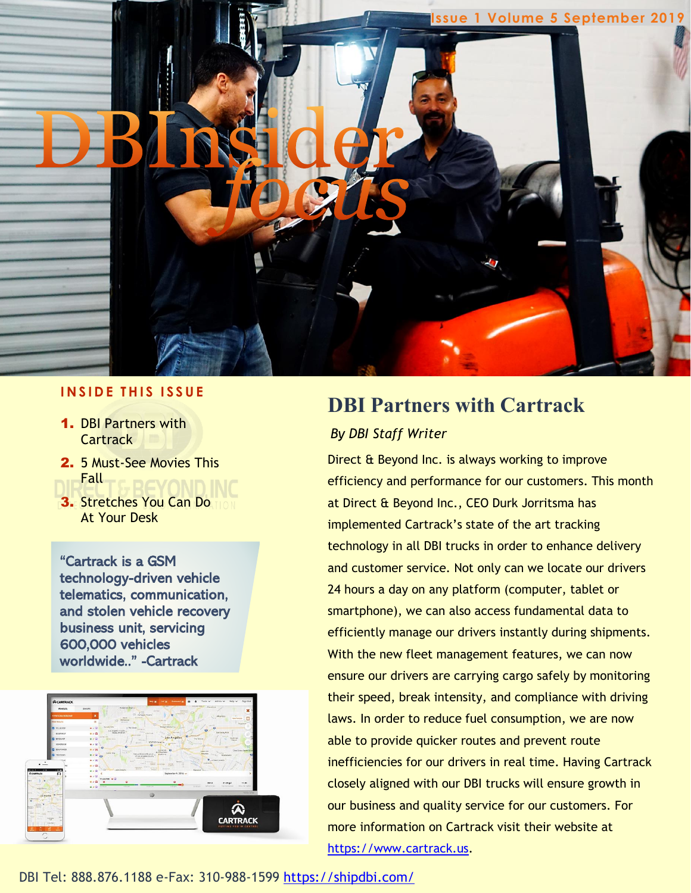

### **I N S I D E T H I S I S S U E**

- 1. DBI Partners with **Cartrack**
- 2. 5 Must-See Movies This Fall
- 3. Stretches You Can Do At Your Desk

"Cartrack is a GSM technology-driven vehicle telematics, communication, and stolen vehicle recovery business unit, servicing 600,000 vehicles worldwide.." -Cartrack



## **DBI Partners with Cartrack** *By DBI Staff Writer*

Direct & Beyond Inc. is always working to improve efficiency and performance for our customers. This month at Direct & Beyond Inc., CEO Durk Jorritsma has implemented Cartrack's state of the art tracking technology in all DBI trucks in order to enhance delivery and customer service. Not only can we locate our drivers 24 hours a day on any platform (computer, tablet or smartphone), we can also access fundamental data to efficiently manage our drivers instantly during shipments. With the new fleet management features, we can now ensure our drivers are carrying cargo safely by monitoring their speed, break intensity, and compliance with driving laws. In order to reduce fuel consumption, we are now able to provide quicker routes and prevent route inefficiencies for our drivers in real time. Having Cartrack closely aligned with our DBI trucks will ensure growth in our business and quality service for our customers. For more information on Cartrack visit their website at [https://www.cartrack.us.](https://www.cartrack.us/)

DBI Tel: 888.876.1188 e-Fax: 310-988-1599<https://shipdbi.com/>